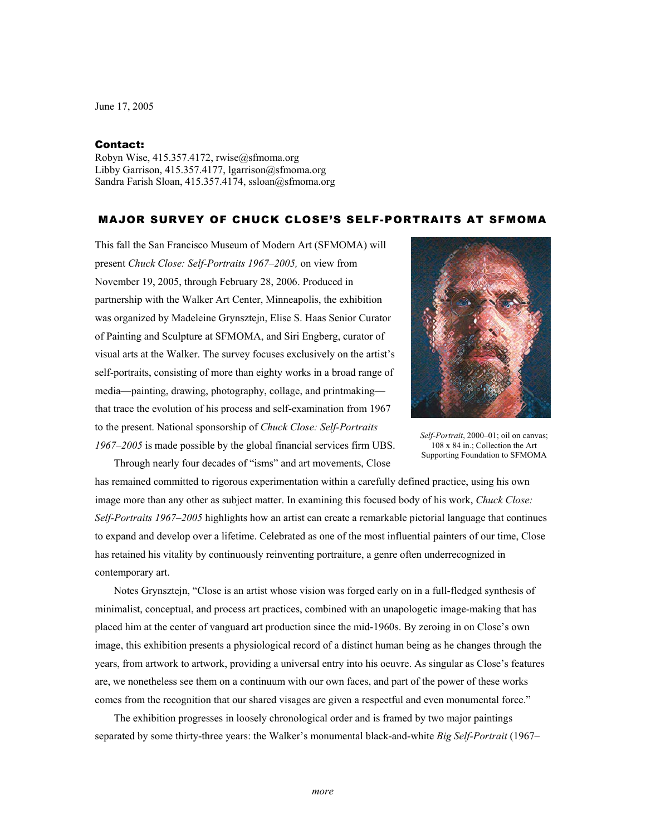June 17, 2005

## Contact:

Robyn Wise, 415.357.4172, rwise@sfmoma.org Libby Garrison, 415.357.4177, lgarrison@sfmoma.org Sandra Farish Sloan, 415.357.4174, ssloan@sfmoma.org

## MAJOR SURVEY OF CHUCK CLOSE'S SELF-PORTRAITS AT SFMOMA

This fall the San Francisco Museum of Modern Art (SFMOMA) will present *Chuck Close: Self-Portraits 1967–2005,* on view from November 19, 2005, through February 28, 2006. Produced in partnership with the Walker Art Center, Minneapolis, the exhibition was organized by Madeleine Grynsztejn, Elise S. Haas Senior Curator of Painting and Sculpture at SFMOMA, and Siri Engberg, curator of visual arts at the Walker. The survey focuses exclusively on the artist's self-portraits, consisting of more than eighty works in a broad range of media—painting, drawing, photography, collage, and printmaking that trace the evolution of his process and self-examination from 1967 to the present. National sponsorship of *Chuck Close: Self-Portraits 1967–2005* is made possible by the global financial services firm UBS.

Through nearly four decades of "isms" and art movements, Close



*Self-Portrait*, 2000–01; oil on canvas; 108 x 84 in.; Collection the Art Supporting Foundation to SFMOMA

has remained committed to rigorous experimentation within a carefully defined practice, using his own image more than any other as subject matter. In examining this focused body of his work, *Chuck Close: Self-Portraits 1967–2005* highlights how an artist can create a remarkable pictorial language that continues to expand and develop over a lifetime. Celebrated as one of the most influential painters of our time, Close has retained his vitality by continuously reinventing portraiture, a genre often underrecognized in contemporary art.

Notes Grynsztejn, "Close is an artist whose vision was forged early on in a full-fledged synthesis of minimalist, conceptual, and process art practices, combined with an unapologetic image-making that has placed him at the center of vanguard art production since the mid-1960s. By zeroing in on Close's own image, this exhibition presents a physiological record of a distinct human being as he changes through the years, from artwork to artwork, providing a universal entry into his oeuvre. As singular as Close's features are, we nonetheless see them on a continuum with our own faces, and part of the power of these works comes from the recognition that our shared visages are given a respectful and even monumental force."

The exhibition progresses in loosely chronological order and is framed by two major paintings separated by some thirty-three years: the Walker's monumental black-and-white *Big Self-Portrait* (1967–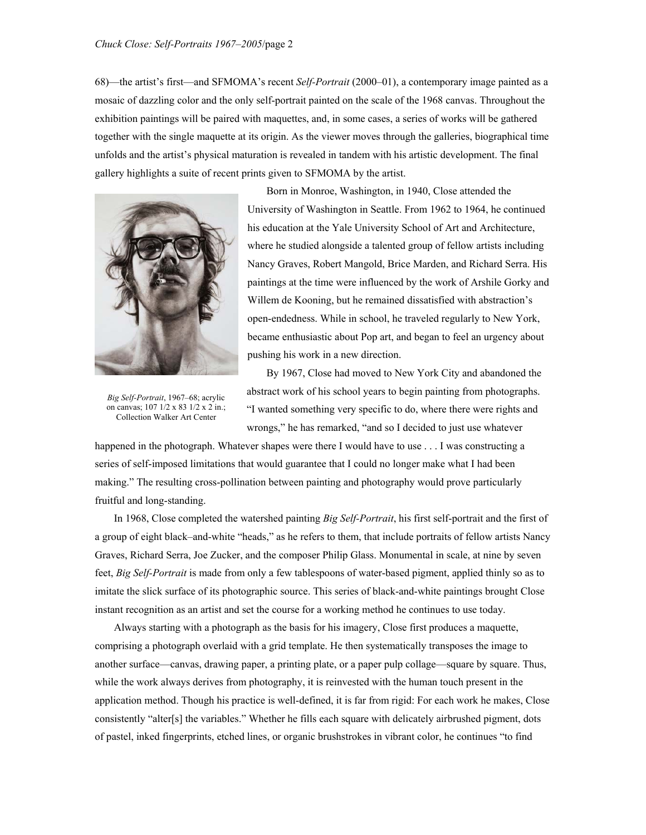68)—the artist's first—and SFMOMA's recent *Self-Portrait* (2000–01), a contemporary image painted as a mosaic of dazzling color and the only self-portrait painted on the scale of the 1968 canvas. Throughout the exhibition paintings will be paired with maquettes, and, in some cases, a series of works will be gathered together with the single maquette at its origin. As the viewer moves through the galleries, biographical time unfolds and the artist's physical maturation is revealed in tandem with his artistic development. The final gallery highlights a suite of recent prints given to SFMOMA by the artist.



*Big Self-Portrait*, 1967–68; acrylic on canvas; 107 1/2 x 83 1/2 x 2 in.; Collection Walker Art Center

Born in Monroe, Washington, in 1940, Close attended the University of Washington in Seattle. From 1962 to 1964, he continued his education at the Yale University School of Art and Architecture, where he studied alongside a talented group of fellow artists including Nancy Graves, Robert Mangold, Brice Marden, and Richard Serra. His paintings at the time were influenced by the work of Arshile Gorky and Willem de Kooning, but he remained dissatisfied with abstraction's open-endedness. While in school, he traveled regularly to New York, became enthusiastic about Pop art, and began to feel an urgency about pushing his work in a new direction.

By 1967, Close had moved to New York City and abandoned the abstract work of his school years to begin painting from photographs. "I wanted something very specific to do, where there were rights and wrongs," he has remarked, "and so I decided to just use whatever

happened in the photograph. Whatever shapes were there I would have to use . . . I was constructing a series of self-imposed limitations that would guarantee that I could no longer make what I had been making." The resulting cross-pollination between painting and photography would prove particularly fruitful and long-standing.

In 1968, Close completed the watershed painting *Big Self-Portrait*, his first self-portrait and the first of a group of eight black–and-white "heads," as he refers to them, that include portraits of fellow artists Nancy Graves, Richard Serra, Joe Zucker, and the composer Philip Glass. Monumental in scale, at nine by seven feet, *Big Self-Portrait* is made from only a few tablespoons of water-based pigment, applied thinly so as to imitate the slick surface of its photographic source. This series of black-and-white paintings brought Close instant recognition as an artist and set the course for a working method he continues to use today.

Always starting with a photograph as the basis for his imagery, Close first produces a maquette, comprising a photograph overlaid with a grid template. He then systematically transposes the image to another surface—canvas, drawing paper, a printing plate, or a paper pulp collage—square by square. Thus, while the work always derives from photography, it is reinvested with the human touch present in the application method. Though his practice is well-defined, it is far from rigid: For each work he makes, Close consistently "alter[s] the variables." Whether he fills each square with delicately airbrushed pigment, dots of pastel, inked fingerprints, etched lines, or organic brushstrokes in vibrant color, he continues "to find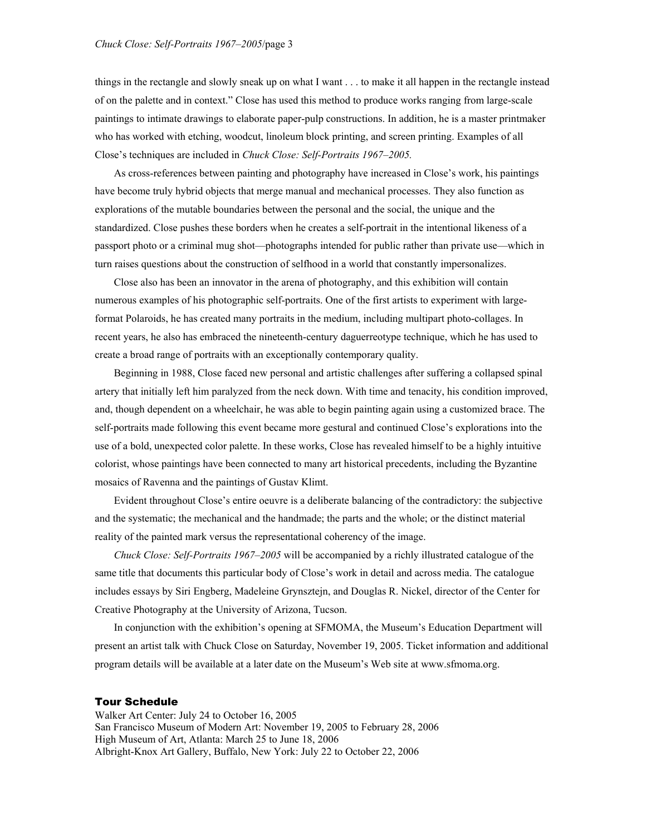things in the rectangle and slowly sneak up on what I want . . . to make it all happen in the rectangle instead of on the palette and in context." Close has used this method to produce works ranging from large-scale paintings to intimate drawings to elaborate paper-pulp constructions. In addition, he is a master printmaker who has worked with etching, woodcut, linoleum block printing, and screen printing. Examples of all Close's techniques are included in *Chuck Close: Self-Portraits 1967–2005.*

As cross-references between painting and photography have increased in Close's work, his paintings have become truly hybrid objects that merge manual and mechanical processes. They also function as explorations of the mutable boundaries between the personal and the social, the unique and the standardized. Close pushes these borders when he creates a self-portrait in the intentional likeness of a passport photo or a criminal mug shot—photographs intended for public rather than private use—which in turn raises questions about the construction of selfhood in a world that constantly impersonalizes.

Close also has been an innovator in the arena of photography, and this exhibition will contain numerous examples of his photographic self-portraits. One of the first artists to experiment with largeformat Polaroids, he has created many portraits in the medium, including multipart photo-collages. In recent years, he also has embraced the nineteenth-century daguerreotype technique, which he has used to create a broad range of portraits with an exceptionally contemporary quality.

Beginning in 1988, Close faced new personal and artistic challenges after suffering a collapsed spinal artery that initially left him paralyzed from the neck down. With time and tenacity, his condition improved, and, though dependent on a wheelchair, he was able to begin painting again using a customized brace. The self-portraits made following this event became more gestural and continued Close's explorations into the use of a bold, unexpected color palette. In these works, Close has revealed himself to be a highly intuitive colorist, whose paintings have been connected to many art historical precedents, including the Byzantine mosaics of Ravenna and the paintings of Gustav Klimt.

Evident throughout Close's entire oeuvre is a deliberate balancing of the contradictory: the subjective and the systematic; the mechanical and the handmade; the parts and the whole; or the distinct material reality of the painted mark versus the representational coherency of the image.

*Chuck Close: Self-Portraits 1967–2005* will be accompanied by a richly illustrated catalogue of the same title that documents this particular body of Close's work in detail and across media. The catalogue includes essays by Siri Engberg, Madeleine Grynsztejn, and Douglas R. Nickel, director of the Center for Creative Photography at the University of Arizona, Tucson.

In conjunction with the exhibition's opening at SFMOMA, the Museum's Education Department will present an artist talk with Chuck Close on Saturday, November 19, 2005. Ticket information and additional program details will be available at a later date on the Museum's Web site at www.sfmoma.org.

## Tour Schedule

Walker Art Center: July 24 to October 16, 2005 San Francisco Museum of Modern Art: November 19, 2005 to February 28, 2006 High Museum of Art, Atlanta: March 25 to June 18, 2006 Albright-Knox Art Gallery, Buffalo, New York: July 22 to October 22, 2006